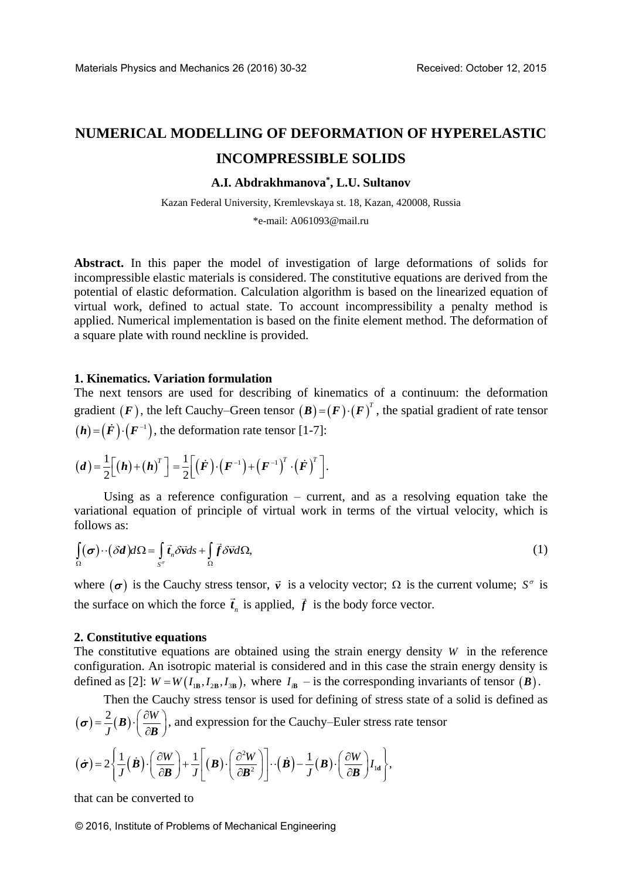# **NUMERICAL MODELLING OF DEFORMATION OF HYPERELASTIC INCOMPRESSIBLE SOLIDS**

# **A.I. Abdrakhmanova\* , L.U. Sultanov**

Kazan Federal University, Kremlevskaya st. 18, Kazan, 420008, Russia \*e-mail: [A061093@mail.ru](mailto:A061093@mail.ru)

**Abstract.** In this paper the model of investigation of large deformations of solids for incompressible elastic materials is considered. The constitutive equations are derived from the potential of elastic deformation. Calculation algorithm is based on the linearized equation of virtual work, defined to actual state. To account incompressibility a penalty method is applied. Numerical implementation is based on the finite element method. The deformation of a square plate with round neckline is provided.

## **1. Kinematics. Variation formulation**

The next tensors are used for describing of kinematics of a continuum: the deformation gradient  $(F)$ , the left Cauchy–Green tensor  $(B) = (F) \cdot (F)^T$ , the spatial gradient of rate tensor  $(h) = (F) \cdot (F^{-1})$ , the deformation rate tensor [1-7]:

$$
(\boldsymbol{d}) = \frac{1}{2} \Big[ (\boldsymbol{h}) + (\boldsymbol{h})^T \Big] = \frac{1}{2} \Big[ (\boldsymbol{F}) \cdot (\boldsymbol{F}^{-1}) + (\boldsymbol{F}^{-1})^T \cdot (\boldsymbol{F})^T \Big].
$$

Using as a reference configuration – current, and as a resolving equation take the variational equation of principle of virtual work in terms of the virtual velocity, which is follows as:

follows as:  
\n
$$
\int_{\Omega} (\sigma) \cdot (\delta d) d\Omega = \int_{S^{\sigma}} \vec{t}_n \delta \vec{v} ds + \int_{\Omega} \vec{f} \delta \vec{v} d\Omega,
$$
\n(1)

where  $(\sigma)$  is the Cauchy stress tensor,  $\vec{v}$  is a velocity vector;  $\Omega$  is the current volume;  $S^{\sigma}$  is the surface on which the force  $\vec{t}_n$  is applied,  $\vec{f}$  is the body force vector.

## **2. Constitutive equations**

The constitutive equations are obtained using the strain energy density  $W$  in the reference configuration. An isotropic material is considered and in this case the strain energy density is defined as [2]:  $W = W(I_{IB}, I_{2B}, I_{3B})$ , where  $I_{IB}$  – is the corresponding invariants of tensor  $(B)$ .

Then the Cauchy stress tensor is used for defining of stress state of a solid is defined as  
\n
$$
(\sigma) = \frac{2}{J}(\mathbf{B}) \cdot \left(\frac{\partial W}{\partial \mathbf{B}}\right), \text{ and expression for the Cauchy-Euler stress rate tensor}
$$
\n
$$
(\dot{\sigma}) = 2 \left\{ \frac{1}{J}(\dot{\mathbf{B}}) \cdot \left(\frac{\partial W}{\partial \mathbf{D}}\right) + \frac{1}{J} \left[(\mathbf{B}) \cdot \left(\frac{\partial^2 W}{\partial \mathbf{D}^2}\right)\right] \cdot (\dot{\mathbf{B}}) - \frac{1}{J}(\mathbf{B}) \cdot \left(\frac{\partial W}{\partial \mathbf{D}}\right) I_{\text{ld}} \right\},
$$

$$
(\boldsymbol{\sigma}) = \frac{2}{J}(\boldsymbol{B}) \cdot \left(\frac{\partial W}{\partial \boldsymbol{B}}\right), \text{ and expression for the Cauchy–Euler stress rate ten}
$$

$$
(\boldsymbol{\sigma}) = 2 \left\{ \frac{1}{J}(\boldsymbol{B}) \cdot \left(\frac{\partial W}{\partial \boldsymbol{B}}\right) + \frac{1}{J} \left[ (\boldsymbol{B}) \cdot \left(\frac{\partial^2 W}{\partial \boldsymbol{B}^2}\right) \right] \cdot (\boldsymbol{B}) - \frac{1}{J}(\boldsymbol{B}) \cdot \left(\frac{\partial W}{\partial \boldsymbol{B}}\right) I_{\text{1d}} \right\},
$$

that can be converted to

© 2016, Institute of Problems of Mechanical Engineering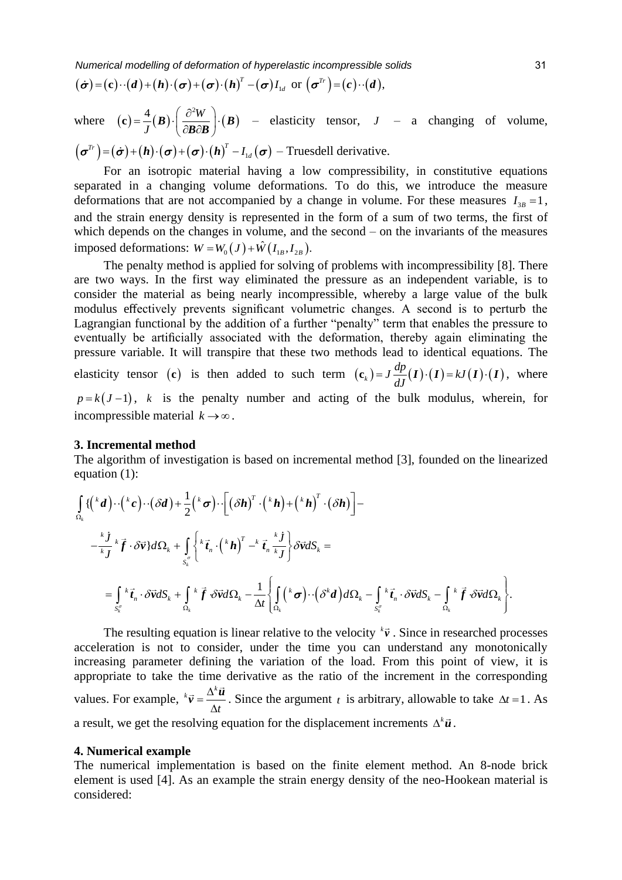Numerical modelling of deformation of hyperelastic incompressible solids  
\n
$$
(\dot{\sigma}) = (\mathbf{c}) \cdot (\mathbf{d}) + (\mathbf{h}) \cdot (\boldsymbol{\sigma}) + (\boldsymbol{\sigma}) \cdot (\mathbf{h})^T - (\boldsymbol{\sigma}) I_{1d} \text{ or } (\boldsymbol{\sigma}^{Tr}) = (\mathbf{c}) \cdot (\mathbf{d}),
$$

where  $(c) = \frac{4}{I}(B) \cdot \left(\frac{\partial^2 W}{\partial B \partial B}\right) \cdot (B)$  – *J* **c**) =  $\frac{4}{J}$ **(B)**  $\cdot \left(\frac{\partial^2 W}{\partial \mathbf{B} \partial \mathbf{B}}\right) \cdot \left(\mathbf{B}\right)$ where  $(\mathbf{c}) = \frac{1}{J}(\mathbf{B}) \cdot \left( \frac{\partial \mathbf{w}}{\partial \mathbf{B} \partial \mathbf{B}} \right) \cdot (\mathbf{B})$  – elasticity tensor,  $J$  – a changing of volume,<br>  $(\boldsymbol{\sigma}^{Tr}) = (\dot{\boldsymbol{\sigma}}) + (\mathbf{h}) \cdot (\boldsymbol{\sigma}) + (\boldsymbol{\sigma}) \cdot (\mathbf{h})^T - I_{1d}(\boldsymbol{\sigma})$  – Truesdell derivative.  $\left(\frac{Tr}{\mathbf{r}}\right)$   $\left(\frac{L}{\mathbf{r}}\right)$   $\left(\frac{L}{\mathbf{r}}\right)$   $\left(\frac{L}{\mathbf{r}}\right)$   $\left(\frac{L}{\mathbf{r}}\right)^{T}$  $J$   $(\mathbf{C}\mathbf{B}\mathbf{C}\mathbf{B})$ <br> $\boldsymbol{\sigma}^{T r}$  =  $(\dot{\boldsymbol{\sigma}})$  +  $(\boldsymbol{h}) \cdot (\boldsymbol{\sigma})$  +  $(\boldsymbol{\sigma}) \cdot (\boldsymbol{h})^T$  –  $I_{1d}(\boldsymbol{\sigma})$  – Truesdell derivative.

For an isotropic material having a low compressibility, in constitutive equations separated in a changing volume deformations. To do this, we introduce the measure deformations that are not accompanied by a change in volume. For these measures  $I_{3B} = 1$ , and the strain energy density is represented in the form of a sum of two terms, the first of which depends on the changes in volume, and the second – on the invariants of the measures which depends on the changes in volume, and the<br>imposed deformations:  $W = W_0(J) + \hat{W}(I_{1B}, I_{2B}).$ 

The penalty method is applied for solving of problems with incompressibility [8]. There are two ways. In the first way eliminated the pressure as an independent variable, is to consider the material as being nearly incompressible, whereby a large value of the bulk modulus effectively prevents significant volumetric changes. A second is to perturb the Lagrangian functional by the addition of a further "penalty" term that enables the pressure to eventually be artificially associated with the deformation, thereby again eliminating the pressure variable. It will transpire that these two methods lead to identical equations. The between the contract term  $\mathbf{c}_k = \int \frac{dp}{dt}(\mathbf{I}) \cdot (\mathbf{I}) = kJ(\mathbf{I}) \cdot (\mathbf{I})$ , where  $p = k(J-1)$ , *k* is the penalty number and acting of the bulk modulus, wherein, for incompressible material  $k \rightarrow \infty$ .

#### **3. Incremental method**

The algorithm of investigation is based on incremental method [3], founded on the linearized equation (1):<br>  $\int_{\Omega_k} \{ \left( {}^{k}d \right) \cdot \left( {}^{k}c \right) \cdot \left( \delta d \right) + \frac{1}{2} \left( {}^{k} \sigma \right) \cdot \left[ \left( \delta h \right)^{T} \cdot \left( {}^{k} h \right) + \left( {}^{k} h \right)^{T} \cdot \$ equation (1):

equation (1):  
\n
$$
\int_{\Omega_k} \{ \left( {}^{k}d \right) \cdot \left( {}^{k}c \right) \cdot \left( \delta d \right) + \frac{1}{2} \left( {}^{k} \sigma \right) \cdot \left[ \left( \delta h \right)^{T} \cdot \left( {}^{k} h \right) + \left( {}^{k} h \right)^{T} \cdot \left( \delta h \right) \right] -
$$
\n
$$
- \frac{{}^{k}j}{kj} {}^{k} \vec{f} \cdot \delta \vec{v} \} d\Omega_k + \int_{S_k^{\sigma}} \left\{ {}^{k} \vec{t}_n \cdot \left( {}^{k} h \right)^{T} - {}^{k} \vec{t}_n \frac{{}^{k} j}{kj} \right\} \delta \vec{v} dS_k =
$$
\n
$$
= \int_{S_k^{\sigma}} {}^{k} \vec{t}_n \cdot \delta \vec{v} dS_k + \int_{\Omega_k} {}^{k} \vec{f} \cdot \delta \vec{v} d\Omega_k - \frac{1}{\Delta t} \left\{ \int_{\Omega_k} \left( {}^{k} \sigma \right) \cdot \left( \delta^{k} d \right) d\Omega_k - \int_{S_k^{\sigma}} {}^{k} \vec{t}_n \cdot \delta \vec{v} dS_k - \int_{\Omega_k} {}^{k} \vec{f} \cdot \delta \vec{v} d\Omega_k \right\}.
$$

The resulting equation is linear relative to the velocity  $\kappa \vec{v}$ . Since in researched processes acceleration is not to consider, under the time you can understand any monotonically increasing parameter defining the variation of the load. From this point of view, it is appropriate to take the time derivative as the ratio of the increment in the corresponding values. For example,  $^k \vec{v} = \frac{\Delta^k}{\Delta^k}$ *t*  $=\frac{\Delta}{\sqrt{2}}$ Δ  $\vec{v} = \frac{\Delta^k \vec{u}}{i}$ . Since the argument *t* is arbitrary, allowable to take  $\Delta t = 1$ . As a result, we get the resolving equation for the displacement increments  $\Delta^k \vec{u}$ .

## **4. Numerical example**

The numerical implementation is based on the finite element method. An 8-node brick element is used [4]. As an example the strain energy density of the neo-Hookean material is considered: